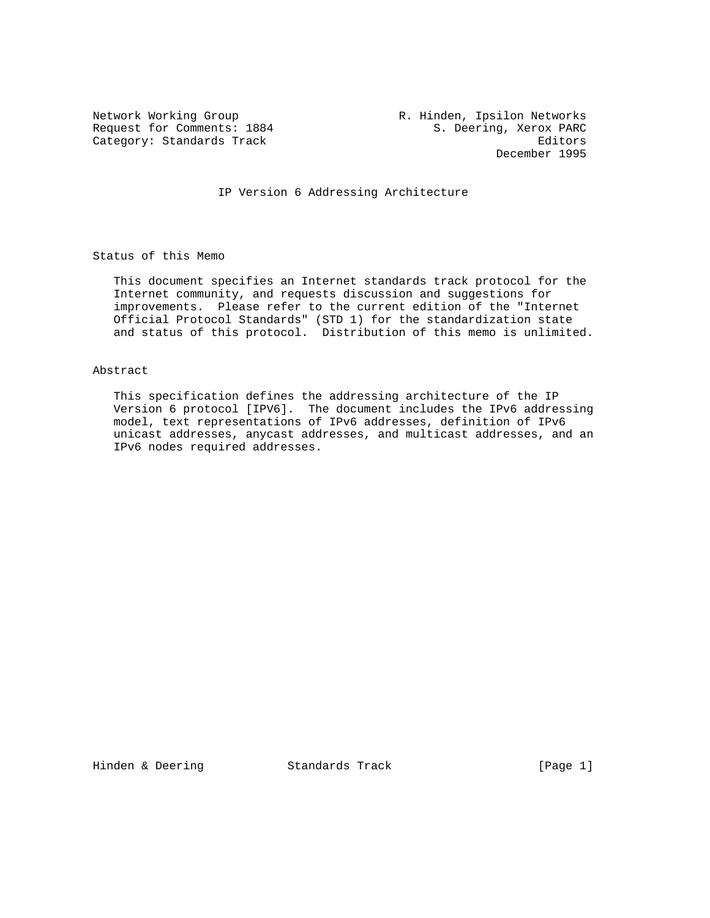Network Working Group 1988 1999 1999 R. Hinden, Ipsilon Networks Request for Comments: 1884 S. Deering, Xerox PARC Category: Standards Track Editors Editors Editors December 1995

IP Version 6 Addressing Architecture

Status of this Memo

 This document specifies an Internet standards track protocol for the Internet community, and requests discussion and suggestions for improvements. Please refer to the current edition of the "Internet Official Protocol Standards" (STD 1) for the standardization state and status of this protocol. Distribution of this memo is unlimited.

# Abstract

 This specification defines the addressing architecture of the IP Version 6 protocol [IPV6]. The document includes the IPv6 addressing model, text representations of IPv6 addresses, definition of IPv6 unicast addresses, anycast addresses, and multicast addresses, and an IPv6 nodes required addresses.

Hinden & Deering Standards Track [Page 1]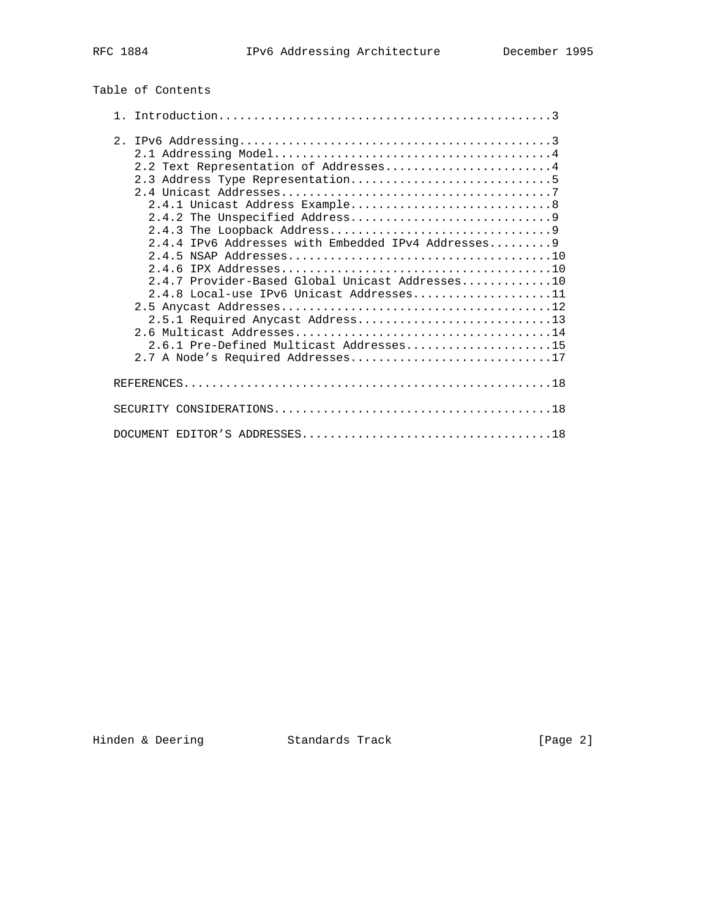| Table of Contents |  |  |  |
|-------------------|--|--|--|
|-------------------|--|--|--|

| 1 <sup>1</sup> |                                                                                                                                                                                                                                                                                                                   |
|----------------|-------------------------------------------------------------------------------------------------------------------------------------------------------------------------------------------------------------------------------------------------------------------------------------------------------------------|
|                | 2.2 Text Representation of Addresses4<br>2.4.4 IPv6 Addresses with Embedded IPv4 Addresses 9<br>2.4.7 Provider-Based Global Unicast Addresses10<br>$2.4.8$ Local-use IPv6 Unicast Addresses11<br>2.5.1 Required Anycast Address13<br>2.6.1 Pre-Defined Multicast Addresses15<br>2.7 A Node's Required Addresses17 |
|                |                                                                                                                                                                                                                                                                                                                   |
|                |                                                                                                                                                                                                                                                                                                                   |
|                |                                                                                                                                                                                                                                                                                                                   |

Hinden & Deering Standards Track [Page 2]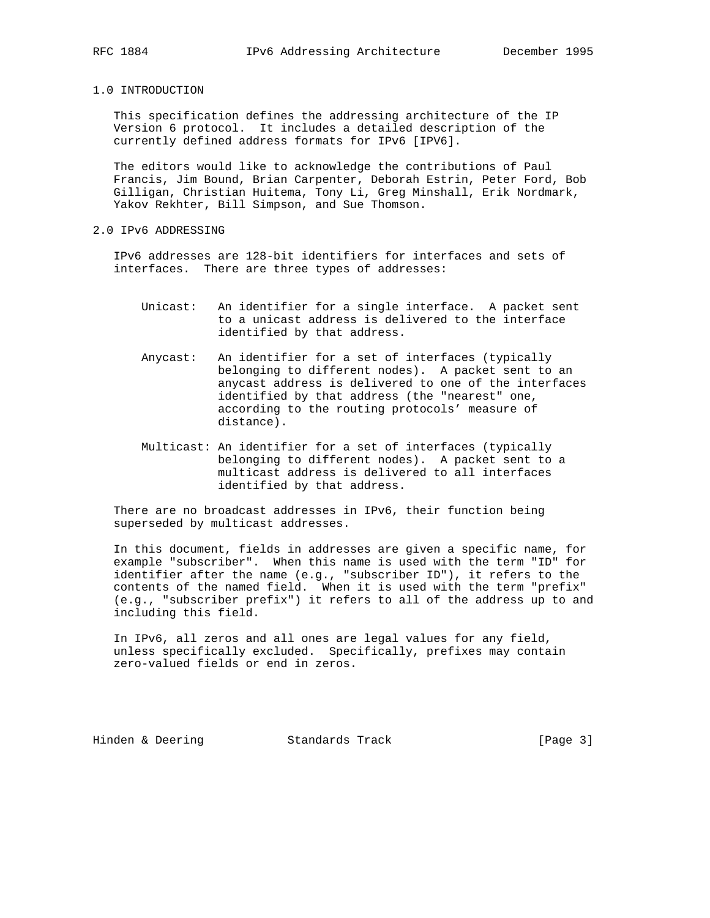1.0 INTRODUCTION

 This specification defines the addressing architecture of the IP Version 6 protocol. It includes a detailed description of the currently defined address formats for IPv6 [IPV6].

 The editors would like to acknowledge the contributions of Paul Francis, Jim Bound, Brian Carpenter, Deborah Estrin, Peter Ford, Bob Gilligan, Christian Huitema, Tony Li, Greg Minshall, Erik Nordmark, Yakov Rekhter, Bill Simpson, and Sue Thomson.

2.0 IPv6 ADDRESSING

 IPv6 addresses are 128-bit identifiers for interfaces and sets of interfaces. There are three types of addresses:

- Unicast: An identifier for a single interface. A packet sent to a unicast address is delivered to the interface identified by that address.
- Anycast: An identifier for a set of interfaces (typically belonging to different nodes). A packet sent to an anycast address is delivered to one of the interfaces identified by that address (the "nearest" one, according to the routing protocols' measure of distance).
- Multicast: An identifier for a set of interfaces (typically belonging to different nodes). A packet sent to a multicast address is delivered to all interfaces identified by that address.

 There are no broadcast addresses in IPv6, their function being superseded by multicast addresses.

 In this document, fields in addresses are given a specific name, for example "subscriber". When this name is used with the term "ID" for identifier after the name (e.g., "subscriber ID"), it refers to the contents of the named field. When it is used with the term "prefix" (e.g., "subscriber prefix") it refers to all of the address up to and including this field.

 In IPv6, all zeros and all ones are legal values for any field, unless specifically excluded. Specifically, prefixes may contain zero-valued fields or end in zeros.

Hinden & Deering Standards Track [Page 3]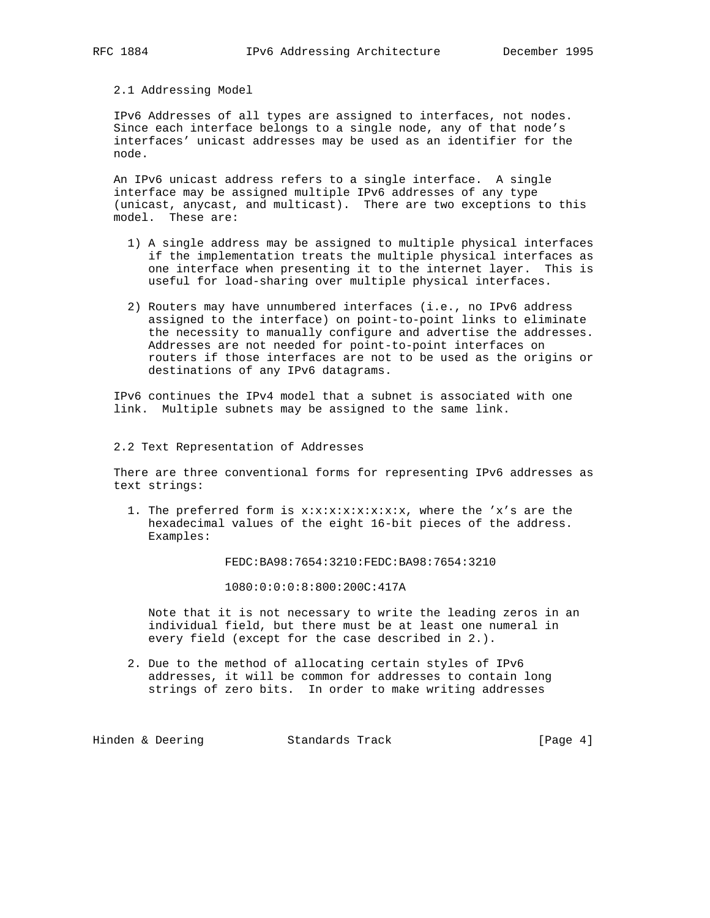2.1 Addressing Model

 IPv6 Addresses of all types are assigned to interfaces, not nodes. Since each interface belongs to a single node, any of that node's interfaces' unicast addresses may be used as an identifier for the node.

 An IPv6 unicast address refers to a single interface. A single interface may be assigned multiple IPv6 addresses of any type (unicast, anycast, and multicast). There are two exceptions to this model. These are:

- 1) A single address may be assigned to multiple physical interfaces if the implementation treats the multiple physical interfaces as one interface when presenting it to the internet layer. This is useful for load-sharing over multiple physical interfaces.
- 2) Routers may have unnumbered interfaces (i.e., no IPv6 address assigned to the interface) on point-to-point links to eliminate the necessity to manually configure and advertise the addresses. Addresses are not needed for point-to-point interfaces on routers if those interfaces are not to be used as the origins or destinations of any IPv6 datagrams.

 IPv6 continues the IPv4 model that a subnet is associated with one link. Multiple subnets may be assigned to the same link.

2.2 Text Representation of Addresses

 There are three conventional forms for representing IPv6 addresses as text strings:

 1. The preferred form is x:x:x:x:x:x:x:x, where the 'x's are the hexadecimal values of the eight 16-bit pieces of the address. Examples:

FEDC:BA98:7654:3210:FEDC:BA98:7654:3210

1080:0:0:0:8:800:200C:417A

 Note that it is not necessary to write the leading zeros in an individual field, but there must be at least one numeral in every field (except for the case described in 2.).

 2. Due to the method of allocating certain styles of IPv6 addresses, it will be common for addresses to contain long strings of zero bits. In order to make writing addresses

Hinden & Deering Standards Track [Page 4]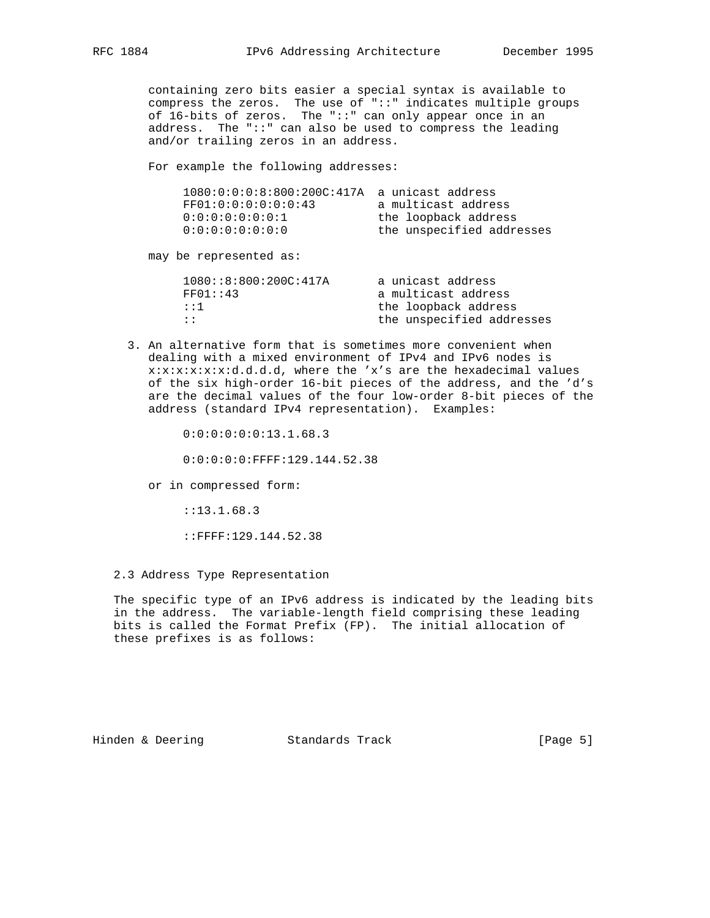containing zero bits easier a special syntax is available to compress the zeros. The use of "::" indicates multiple groups of 16-bits of zeros. The "::" can only appear once in an address. The "::" can also be used to compress the leading and/or trailing zeros in an address.

For example the following addresses:

| $1080:0:0:0:8:800:200C:417A$ a unicast address |                           |
|------------------------------------------------|---------------------------|
| FF01:0:0:0:0:0:0:0:43                          | a multicast address       |
| 0:0:0:0:0:0:0:0:1                              | the loopback address      |
| 0:0:0:0:0:0:0:0:0                              | the unspecified addresses |
|                                                |                           |

may be represented as:

| 1080::8::800::200C::417A | a unicast address         |
|--------------------------|---------------------------|
| FF01::43                 | a multicast address       |
| $\cdot$ :1               | the loopback address      |
| $\mathbf{1}$             | the unspecified addresses |

 3. An alternative form that is sometimes more convenient when dealing with a mixed environment of IPv4 and IPv6 nodes is x:x:x:x:x:x:d.d.d.d, where the 'x's are the hexadecimal values of the six high-order 16-bit pieces of the address, and the 'd's are the decimal values of the four low-order 8-bit pieces of the address (standard IPv4 representation). Examples:

0:0:0:0:0:0:13.1.68.3

0:0:0:0:0:FFFF:129.144.52.38

or in compressed form:

::13.1.68.3

::FFFF:129.144.52.38

2.3 Address Type Representation

 The specific type of an IPv6 address is indicated by the leading bits in the address. The variable-length field comprising these leading bits is called the Format Prefix (FP). The initial allocation of these prefixes is as follows:

Hinden & Deering Standards Track [Page 5]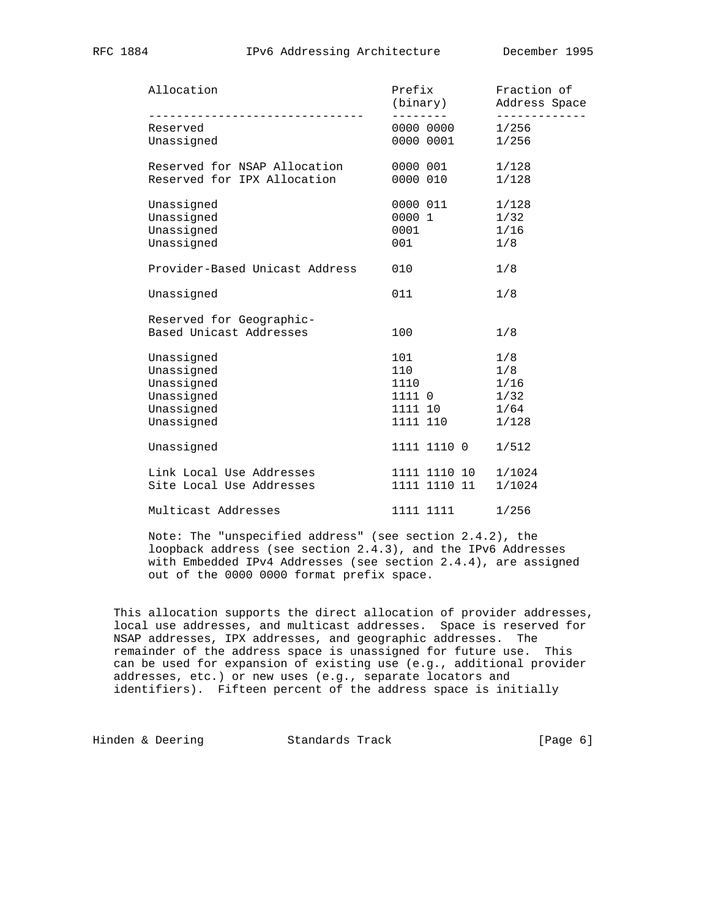| Allocation<br>_________________________________                                  | Prefix<br>(binary)<br>---------                     | Fraction of<br>Address Space<br>_____________ |
|----------------------------------------------------------------------------------|-----------------------------------------------------|-----------------------------------------------|
| Reserved<br>Unassigned                                                           | 0000 0000<br>0000 0001                              | 1/256<br>1/256                                |
| Reserved for NSAP Allocation 0000 001<br>Reserved for IPX Allocation             | 0000 010                                            | 1/128<br>1/128                                |
| Unassigned<br>Unassigned<br>Unassigned<br>Unassigned                             | 0000 011<br>0000 1<br>0001<br>001                   | 1/128<br>1/32<br>1/16<br>1/8                  |
| Provider-Based Unicast Address                                                   | 010                                                 | 1/8                                           |
| Unassigned                                                                       | 011                                                 | 1/8                                           |
| Reserved for Geographic-<br>Based Unicast Addresses                              | 100                                                 | 1/8                                           |
| Unassigned<br>Unassigned<br>Unassigned<br>Unassigned<br>Unassigned<br>Unassigned | 101<br>110<br>1110<br>1111 0<br>1111 10<br>1111 110 | 1/8<br>1/8<br>1/16<br>1/32<br>1/64<br>1/128   |
| Unassigned                                                                       | 1111 1110 0                                         | 1/512                                         |
| Link Local Use Addresses<br>Site Local Use Addresses                             | 1111 1110 10<br>1111 1110 11                        | 1/1024<br>1/1024                              |
| Multicast Addresses                                                              | 1111 1111                                           | 1/256                                         |

 Note: The "unspecified address" (see section 2.4.2), the loopback address (see section 2.4.3), and the IPv6 Addresses with Embedded IPv4 Addresses (see section 2.4.4), are assigned out of the 0000 0000 format prefix space.

 This allocation supports the direct allocation of provider addresses, local use addresses, and multicast addresses. Space is reserved for NSAP addresses, IPX addresses, and geographic addresses. The remainder of the address space is unassigned for future use. This can be used for expansion of existing use (e.g., additional provider addresses, etc.) or new uses (e.g., separate locators and identifiers). Fifteen percent of the address space is initially

Hinden & Deering Standards Track [Page 6]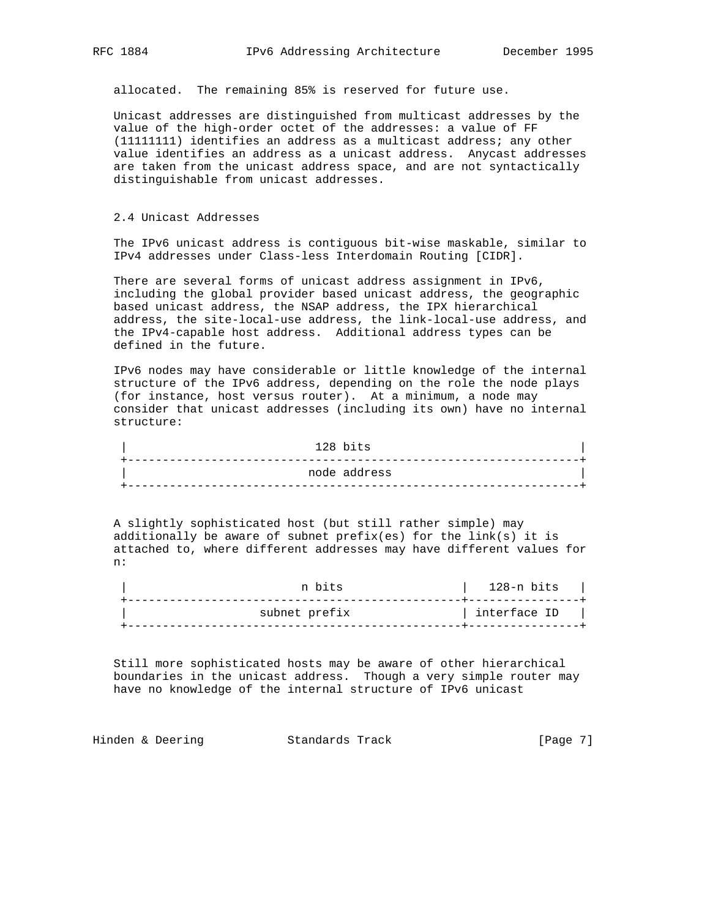allocated. The remaining 85% is reserved for future use.

 Unicast addresses are distinguished from multicast addresses by the value of the high-order octet of the addresses: a value of FF (11111111) identifies an address as a multicast address; any other value identifies an address as a unicast address. Anycast addresses are taken from the unicast address space, and are not syntactically distinguishable from unicast addresses.

### 2.4 Unicast Addresses

 The IPv6 unicast address is contiguous bit-wise maskable, similar to IPv4 addresses under Class-less Interdomain Routing [CIDR].

 There are several forms of unicast address assignment in IPv6, including the global provider based unicast address, the geographic based unicast address, the NSAP address, the IPX hierarchical address, the site-local-use address, the link-local-use address, and the IPv4-capable host address. Additional address types can be defined in the future.

 IPv6 nodes may have considerable or little knowledge of the internal structure of the IPv6 address, depending on the role the node plays (for instance, host versus router). At a minimum, a node may consider that unicast addresses (including its own) have no internal structure:

| 128 bits |              |
|----------|--------------|
|          | node address |
|          |              |

 A slightly sophisticated host (but still rather simple) may additionally be aware of subnet prefix(es) for the link(s) it is attached to, where different addresses may have different values for n:

| n bits        | 128-n bits     |
|---------------|----------------|
| subnet prefix | ' interface ID |

 Still more sophisticated hosts may be aware of other hierarchical boundaries in the unicast address. Though a very simple router may have no knowledge of the internal structure of IPv6 unicast

Hinden & Deering Standards Track [Page 7]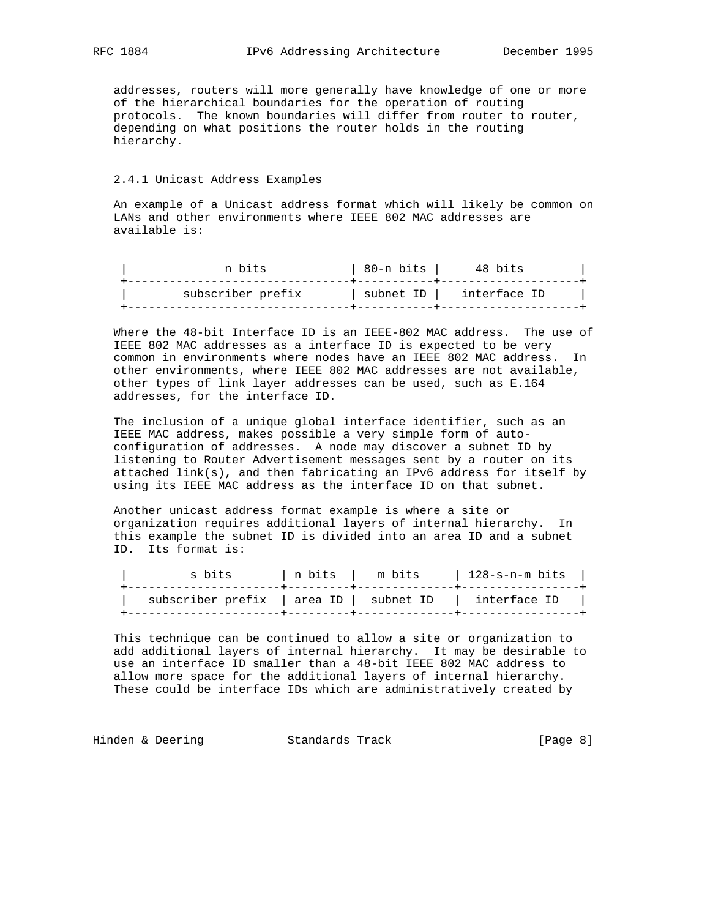addresses, routers will more generally have knowledge of one or more of the hierarchical boundaries for the operation of routing protocols. The known boundaries will differ from router to router, depending on what positions the router holds in the routing hierarchy.

#### 2.4.1 Unicast Address Examples

 An example of a Unicast address format which will likely be common on LANs and other environments where IEEE 802 MAC addresses are available is:

| subscriber prefix<br>subnet ID   interface ID | n bits | 80-n bits | 48 bits |
|-----------------------------------------------|--------|-----------|---------|
|                                               |        |           |         |

 Where the 48-bit Interface ID is an IEEE-802 MAC address. The use of IEEE 802 MAC addresses as a interface ID is expected to be very common in environments where nodes have an IEEE 802 MAC address. In other environments, where IEEE 802 MAC addresses are not available, other types of link layer addresses can be used, such as E.164 addresses, for the interface ID.

 The inclusion of a unique global interface identifier, such as an IEEE MAC address, makes possible a very simple form of auto configuration of addresses. A node may discover a subnet ID by listening to Router Advertisement messages sent by a router on its attached link(s), and then fabricating an IPv6 address for itself by using its IEEE MAC address as the interface ID on that subnet.

 Another unicast address format example is where a site or organization requires additional layers of internal hierarchy. In this example the subnet ID is divided into an area ID and a subnet ID. Its format is:

| s bits | ' n bits | l mbits | 128-s-n-m bits                                         |
|--------|----------|---------|--------------------------------------------------------|
|        |          |         | subscriber prefix   area ID   subnet ID   interface ID |

 This technique can be continued to allow a site or organization to add additional layers of internal hierarchy. It may be desirable to use an interface ID smaller than a 48-bit IEEE 802 MAC address to allow more space for the additional layers of internal hierarchy. These could be interface IDs which are administratively created by

Hinden & Deering Standards Track [Page 8]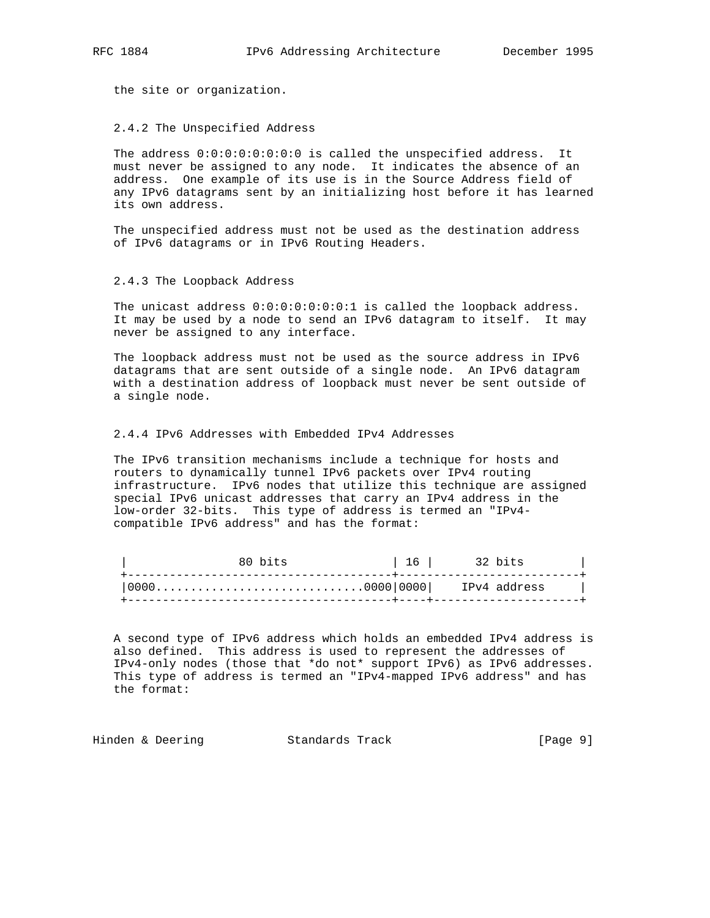the site or organization.

2.4.2 The Unspecified Address

 The address 0:0:0:0:0:0:0:0 is called the unspecified address. It must never be assigned to any node. It indicates the absence of an address. One example of its use is in the Source Address field of any IPv6 datagrams sent by an initializing host before it has learned its own address.

 The unspecified address must not be used as the destination address of IPv6 datagrams or in IPv6 Routing Headers.

### 2.4.3 The Loopback Address

 The unicast address 0:0:0:0:0:0:0:1 is called the loopback address. It may be used by a node to send an IPv6 datagram to itself. It may never be assigned to any interface.

 The loopback address must not be used as the source address in IPv6 datagrams that are sent outside of a single node. An IPv6 datagram with a destination address of loopback must never be sent outside of a single node.

#### 2.4.4 IPv6 Addresses with Embedded IPv4 Addresses

 The IPv6 transition mechanisms include a technique for hosts and routers to dynamically tunnel IPv6 packets over IPv4 routing infrastructure. IPv6 nodes that utilize this technique are assigned special IPv6 unicast addresses that carry an IPv4 address in the low-order 32-bits. This type of address is termed an "IPv4 compatible IPv6 address" and has the format:

| 80 bits                        | $16$ | 32 bits |  |
|--------------------------------|------|---------|--|
| 00000000 0000     IPv4 address |      |         |  |
|                                |      |         |  |

 A second type of IPv6 address which holds an embedded IPv4 address is also defined. This address is used to represent the addresses of IPv4-only nodes (those that \*do not\* support IPv6) as IPv6 addresses. This type of address is termed an "IPv4-mapped IPv6 address" and has the format:

| Hinden & Deering<br>Standards Track | [Page 9] |  |  |
|-------------------------------------|----------|--|--|
|-------------------------------------|----------|--|--|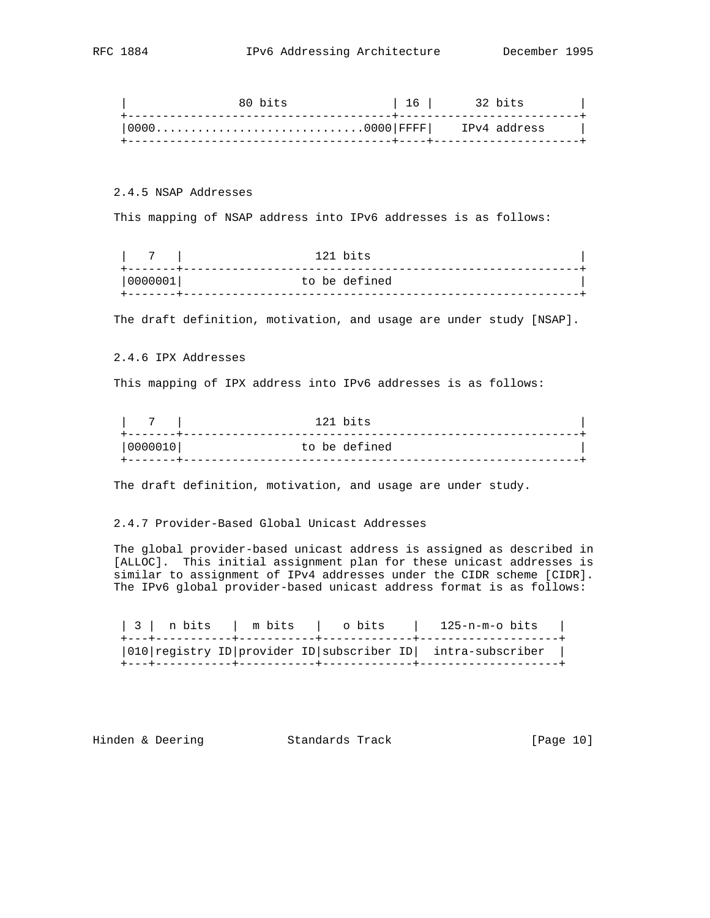| 80 bits                                                                                                                                           | 16 I | 32 bits |
|---------------------------------------------------------------------------------------------------------------------------------------------------|------|---------|
| $\vert 0000 \ldots \ldots \ldots \ldots \ldots \ldots \ldots \ldots \ldots \ldots \ldots \vert 0000 \vert$ FFFF $\vert$ <code>IPv4</code> address |      |         |

#### 2.4.5 NSAP Addresses

This mapping of NSAP address into IPv6 addresses is as follows:

|         | 121 bits      |  |
|---------|---------------|--|
| 0000001 | to be defined |  |
|         |               |  |

The draft definition, motivation, and usage are under study [NSAP].

#### 2.4.6 IPX Addresses

This mapping of IPX address into IPv6 addresses is as follows:

|         | 121 bits      |  |
|---------|---------------|--|
| 0000010 | to be defined |  |

The draft definition, motivation, and usage are under study.

## 2.4.7 Provider-Based Global Unicast Addresses

 The global provider-based unicast address is assigned as described in [ALLOC]. This initial assignment plan for these unicast addresses is similar to assignment of IPv4 addresses under the CIDR scheme [CIDR]. The IPv6 global provider-based unicast address format is as follows:

 | 3 | n bits | m bits | o bits | 125-n-m-o bits | +---+-----------+-----------+-------------+--------------------+ |010|registry ID|provider ID|subscriber ID| intra-subscriber | +---+-----------+-----------+-------------+--------------------+

Hinden & Deering Standards Track [Page 10]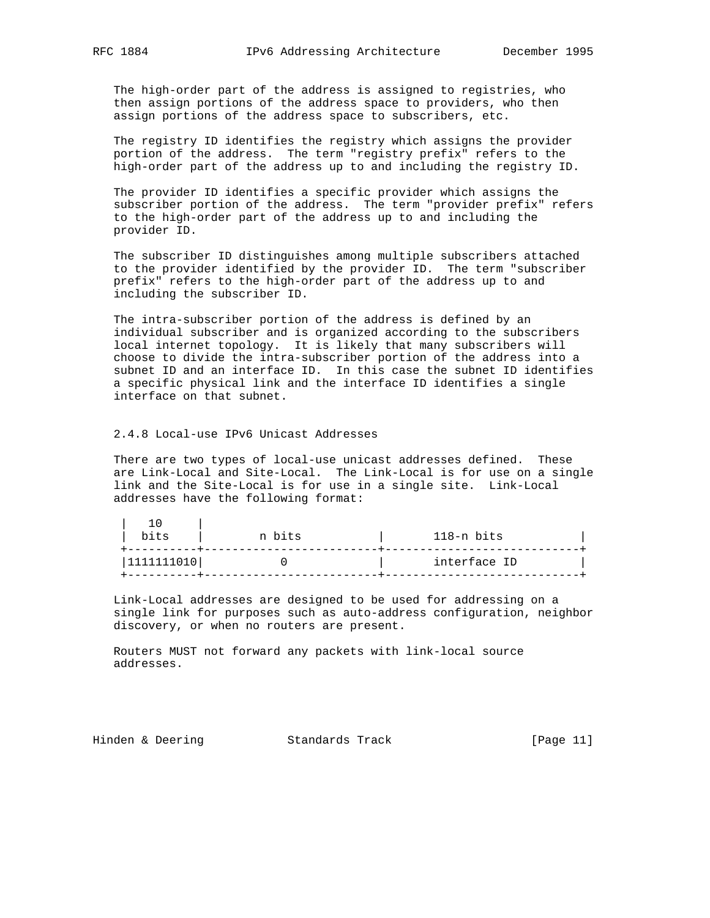The high-order part of the address is assigned to registries, who then assign portions of the address space to providers, who then assign portions of the address space to subscribers, etc.

 The registry ID identifies the registry which assigns the provider portion of the address. The term "registry prefix" refers to the high-order part of the address up to and including the registry ID.

 The provider ID identifies a specific provider which assigns the subscriber portion of the address. The term "provider prefix" refers to the high-order part of the address up to and including the provider ID.

 The subscriber ID distinguishes among multiple subscribers attached to the provider identified by the provider ID. The term "subscriber prefix" refers to the high-order part of the address up to and including the subscriber ID.

 The intra-subscriber portion of the address is defined by an individual subscriber and is organized according to the subscribers local internet topology. It is likely that many subscribers will choose to divide the intra-subscriber portion of the address into a subnet ID and an interface ID. In this case the subnet ID identifies a specific physical link and the interface ID identifies a single interface on that subnet.

## 2.4.8 Local-use IPv6 Unicast Addresses

 There are two types of local-use unicast addresses defined. These are Link-Local and Site-Local. The Link-Local is for use on a single link and the Site-Local is for use in a single site. Link-Local addresses have the following format:

| bits       | n bits | 118-n bits   |  |
|------------|--------|--------------|--|
| 1111111010 |        | interface ID |  |

 Link-Local addresses are designed to be used for addressing on a single link for purposes such as auto-address configuration, neighbor discovery, or when no routers are present.

 Routers MUST not forward any packets with link-local source addresses.

Hinden & Deering Standards Track [Page 11]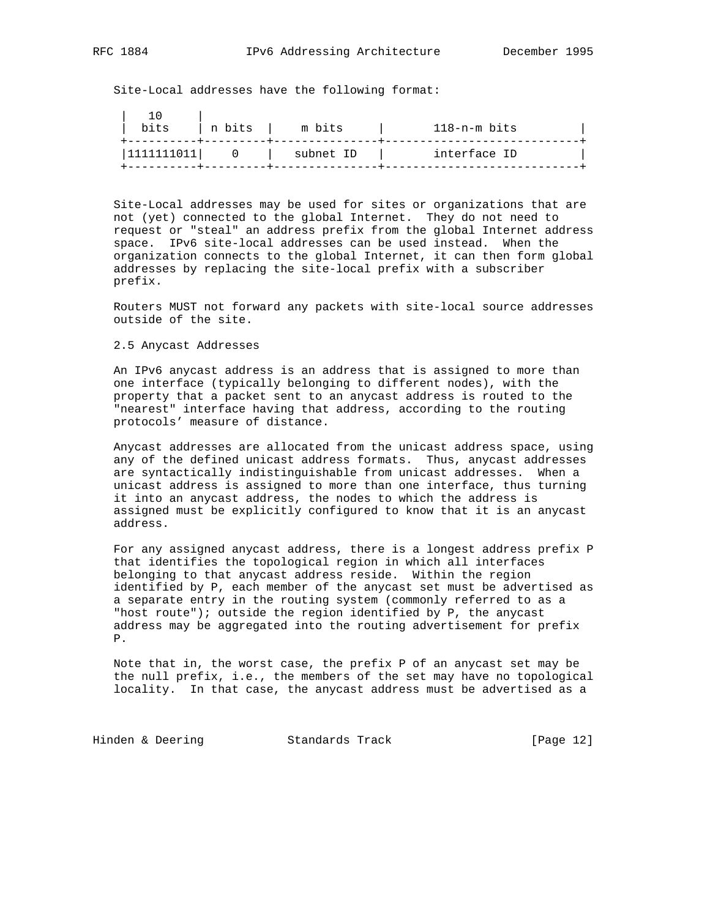Site-Local addresses have the following format:

| bits       | n bits | m bits    | 118-n-m bits |
|------------|--------|-----------|--------------|
| 1111111011 |        | subnet ID | interface ID |

 Site-Local addresses may be used for sites or organizations that are not (yet) connected to the global Internet. They do not need to request or "steal" an address prefix from the global Internet address space. IPv6 site-local addresses can be used instead. When the organization connects to the global Internet, it can then form global addresses by replacing the site-local prefix with a subscriber prefix.

 Routers MUST not forward any packets with site-local source addresses outside of the site.

#### 2.5 Anycast Addresses

 An IPv6 anycast address is an address that is assigned to more than one interface (typically belonging to different nodes), with the property that a packet sent to an anycast address is routed to the "nearest" interface having that address, according to the routing protocols' measure of distance.

 Anycast addresses are allocated from the unicast address space, using any of the defined unicast address formats. Thus, anycast addresses are syntactically indistinguishable from unicast addresses. When a unicast address is assigned to more than one interface, thus turning it into an anycast address, the nodes to which the address is assigned must be explicitly configured to know that it is an anycast address.

 For any assigned anycast address, there is a longest address prefix P that identifies the topological region in which all interfaces belonging to that anycast address reside. Within the region identified by P, each member of the anycast set must be advertised as a separate entry in the routing system (commonly referred to as a "host route"); outside the region identified by P, the anycast address may be aggregated into the routing advertisement for prefix P.

 Note that in, the worst case, the prefix P of an anycast set may be the null prefix, i.e., the members of the set may have no topological locality. In that case, the anycast address must be advertised as a

Hinden & Deering Standards Track [Page 12]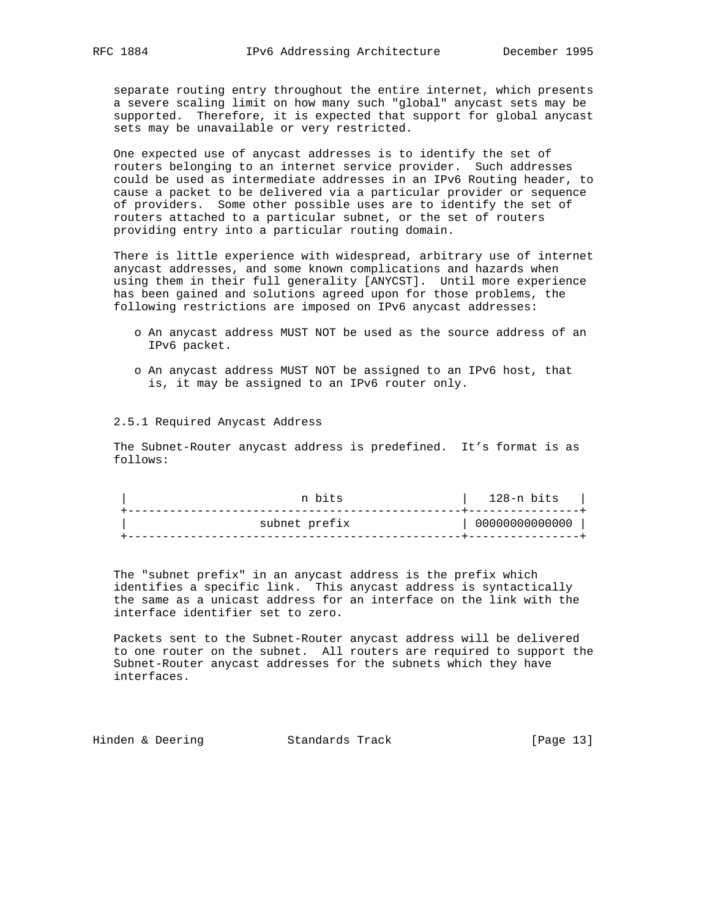separate routing entry throughout the entire internet, which presents a severe scaling limit on how many such "global" anycast sets may be supported. Therefore, it is expected that support for global anycast sets may be unavailable or very restricted.

 One expected use of anycast addresses is to identify the set of routers belonging to an internet service provider. Such addresses could be used as intermediate addresses in an IPv6 Routing header, to cause a packet to be delivered via a particular provider or sequence of providers. Some other possible uses are to identify the set of routers attached to a particular subnet, or the set of routers providing entry into a particular routing domain.

 There is little experience with widespread, arbitrary use of internet anycast addresses, and some known complications and hazards when using them in their full generality [ANYCST]. Until more experience has been gained and solutions agreed upon for those problems, the following restrictions are imposed on IPv6 anycast addresses:

- o An anycast address MUST NOT be used as the source address of an IPv6 packet.
- o An anycast address MUST NOT be assigned to an IPv6 host, that is, it may be assigned to an IPv6 router only.

2.5.1 Required Anycast Address

 The Subnet-Router anycast address is predefined. It's format is as follows:

| n bits        | 128-n bits     |
|---------------|----------------|
| subnet prefix | 00000000000000 |

 The "subnet prefix" in an anycast address is the prefix which identifies a specific link. This anycast address is syntactically the same as a unicast address for an interface on the link with the interface identifier set to zero.

 Packets sent to the Subnet-Router anycast address will be delivered to one router on the subnet. All routers are required to support the Subnet-Router anycast addresses for the subnets which they have interfaces.

Hinden & Deering Standards Track [Page 13]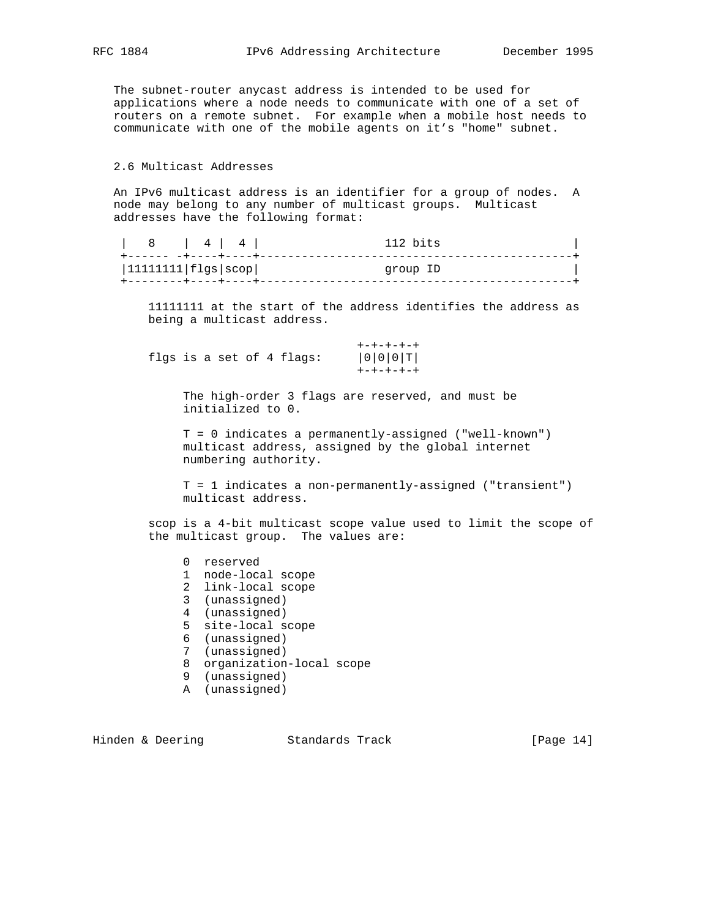The subnet-router anycast address is intended to be used for applications where a node needs to communicate with one of a set of routers on a remote subnet. For example when a mobile host needs to communicate with one of the mobile agents on it's "home" subnet.

## 2.6 Multicast Addresses

 An IPv6 multicast address is an identifier for a group of nodes. A node may belong to any number of multicast groups. Multicast addresses have the following format:

|                                                       | $\begin{array}{c c c c c c c} & 4 & 4 & \end{array}$ | 112 bits |  |
|-------------------------------------------------------|------------------------------------------------------|----------|--|
| +------ -+----+---+----<br>$ 11111111 $ flgs $ scop $ |                                                      | group ID |  |
|                                                       |                                                      |          |  |

 11111111 at the start of the address identifies the address as being a multicast address.

|  |  |  |                           | +-+-+-+-+   |
|--|--|--|---------------------------|-------------|
|  |  |  | flgs is a set of 4 flags: | $ 0 0 0 $ T |
|  |  |  |                           | +-+-+-+-+   |

 The high-order 3 flags are reserved, and must be initialized to 0.

 T = 0 indicates a permanently-assigned ("well-known") multicast address, assigned by the global internet numbering authority.

 T = 1 indicates a non-permanently-assigned ("transient") multicast address.

 scop is a 4-bit multicast scope value used to limit the scope of the multicast group. The values are:

- 0 reserved
- 1 node-local scope
- 2 link-local scope
- 3 (unassigned)
- 4 (unassigned)
- 5 site-local scope
- 6 (unassigned)
- 7 (unassigned)
- 8 organization-local scope
- 9 (unassigned)
- A (unassigned)

Hinden & Deering Standards Track [Page 14]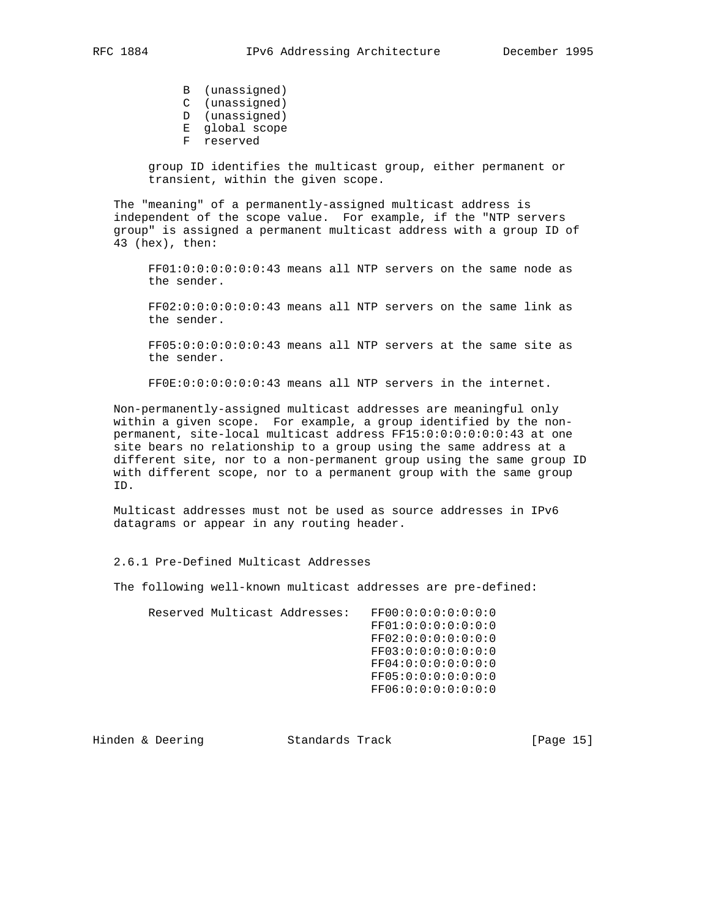- B (unassigned)
- C (unassigned)
- D (unassigned) E global scope
	- F reserved

 group ID identifies the multicast group, either permanent or transient, within the given scope.

 The "meaning" of a permanently-assigned multicast address is independent of the scope value. For example, if the "NTP servers group" is assigned a permanent multicast address with a group ID of 43 (hex), then:

 FF01:0:0:0:0:0:0:43 means all NTP servers on the same node as the sender.

 FF02:0:0:0:0:0:0:43 means all NTP servers on the same link as the sender.

 FF05:0:0:0:0:0:0:43 means all NTP servers at the same site as the sender.

FF0E:0:0:0:0:0:0:43 means all NTP servers in the internet.

 Non-permanently-assigned multicast addresses are meaningful only within a given scope. For example, a group identified by the non permanent, site-local multicast address FF15:0:0:0:0:0:0:43 at one site bears no relationship to a group using the same address at a different site, nor to a non-permanent group using the same group ID with different scope, nor to a permanent group with the same group ID.

 Multicast addresses must not be used as source addresses in IPv6 datagrams or appear in any routing header.

2.6.1 Pre-Defined Multicast Addresses

The following well-known multicast addresses are pre-defined:

|  | Reserved Multicast Addresses: | FF00:0:0:0:0:0:0:0:0 |
|--|-------------------------------|----------------------|
|  |                               | FF01:0:0:0:0:0:0:0:0 |
|  |                               | FF02:0:0:0:0:0:0:0:0 |
|  |                               | FF03:0:0:0:0:0:0:0:0 |
|  |                               | FF04:0:0:0:0:0:0:0:0 |
|  |                               | FF05:0:0:0:0:0:0:0:0 |
|  |                               | FF06:0:0:0:0:0:0:0:0 |

Hinden & Deering Standards Track [Page 15]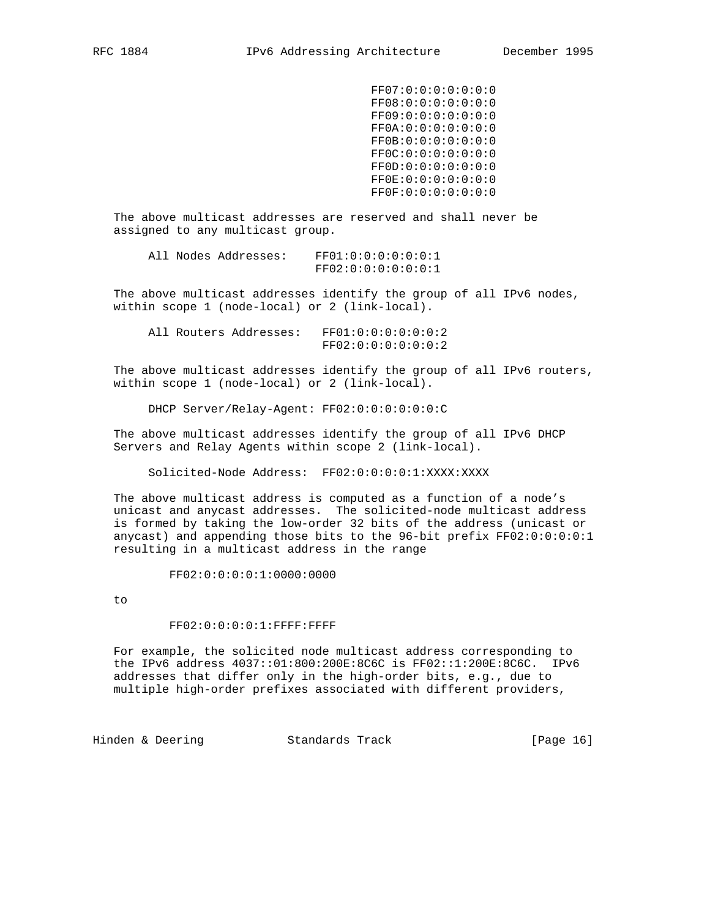FF07:0:0:0:0:0:0:0 FF08:0:0:0:0:0:0:0 FF09:0:0:0:0:0:0:0 FF0A:0:0:0:0:0:0:0 FF0B:0:0:0:0:0:0:0 FF0C:0:0:0:0:0:0:0 FF0D:0:0:0:0:0:0:0 FF0E:0:0:0:0:0:0:0 FF0F:0:0:0:0:0:0:0

 The above multicast addresses are reserved and shall never be assigned to any multicast group.

|  | All Nodes Addresses: | FF01:0:0:0:0:0:0:0:1 |
|--|----------------------|----------------------|
|  |                      | FF02:0:0:0:0:0:0:1   |

 The above multicast addresses identify the group of all IPv6 nodes, within scope 1 (node-local) or 2 (link-local).

 All Routers Addresses: FF01:0:0:0:0:0:0:2 FF02:0:0:0:0:0:0:2

 The above multicast addresses identify the group of all IPv6 routers, within scope 1 (node-local) or 2 (link-local).

DHCP Server/Relay-Agent: FF02:0:0:0:0:0:0:C

 The above multicast addresses identify the group of all IPv6 DHCP Servers and Relay Agents within scope 2 (link-local).

Solicited-Node Address: FF02:0:0:0:0:1:XXXX:XXXX

 The above multicast address is computed as a function of a node's unicast and anycast addresses. The solicited-node multicast address is formed by taking the low-order 32 bits of the address (unicast or anycast) and appending those bits to the 96-bit prefix FF02:0:0:0:0:1 resulting in a multicast address in the range

FF02:0:0:0:0:1:0000:0000

to

# FF02:0:0:0:0:1:FFFF:FFFF

 For example, the solicited node multicast address corresponding to the IPv6 address 4037::01:800:200E:8C6C is FF02::1:200E:8C6C. IPv6 addresses that differ only in the high-order bits, e.g., due to multiple high-order prefixes associated with different providers,

Hinden & Deering Standards Track [Page 16]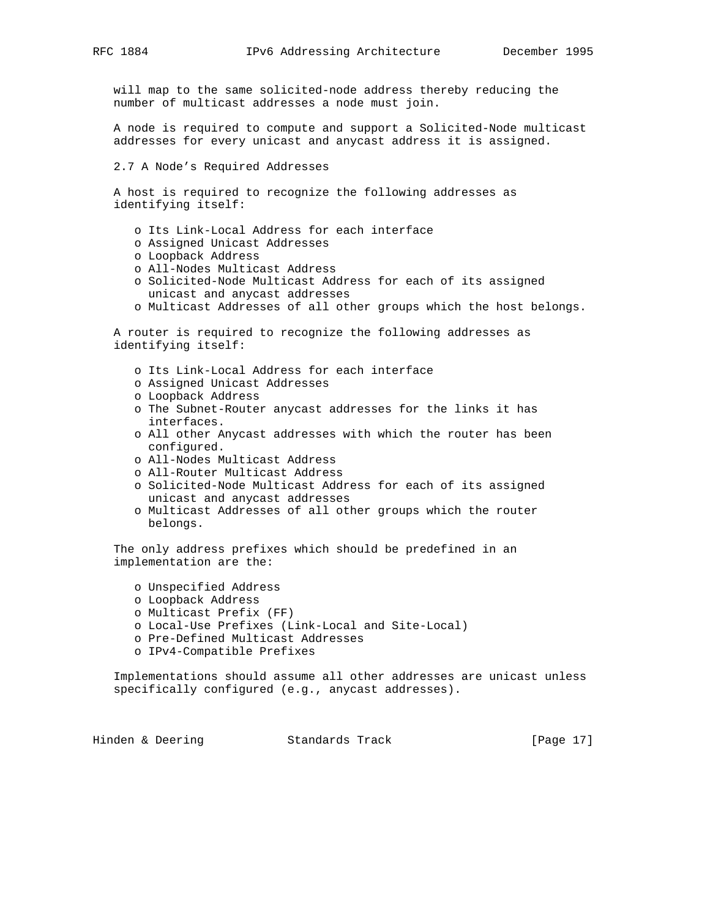will map to the same solicited-node address thereby reducing the number of multicast addresses a node must join.

 A node is required to compute and support a Solicited-Node multicast addresses for every unicast and anycast address it is assigned.

2.7 A Node's Required Addresses

 A host is required to recognize the following addresses as identifying itself:

- o Its Link-Local Address for each interface
- o Assigned Unicast Addresses
- o Loopback Address
- o All-Nodes Multicast Address
- o Solicited-Node Multicast Address for each of its assigned unicast and anycast addresses
- o Multicast Addresses of all other groups which the host belongs.

 A router is required to recognize the following addresses as identifying itself:

- o Its Link-Local Address for each interface
- o Assigned Unicast Addresses
- o Loopback Address
- o The Subnet-Router anycast addresses for the links it has interfaces.
- o All other Anycast addresses with which the router has been configured.
- o All-Nodes Multicast Address
- o All-Router Multicast Address
- o Solicited-Node Multicast Address for each of its assigned unicast and anycast addresses
- o Multicast Addresses of all other groups which the router belongs.

 The only address prefixes which should be predefined in an implementation are the:

- o Unspecified Address
- o Loopback Address
- o Multicast Prefix (FF)
- o Local-Use Prefixes (Link-Local and Site-Local)
- o Pre-Defined Multicast Addresses
- o IPv4-Compatible Prefixes

 Implementations should assume all other addresses are unicast unless specifically configured (e.g., anycast addresses).

Hinden & Deering Standards Track [Page 17]